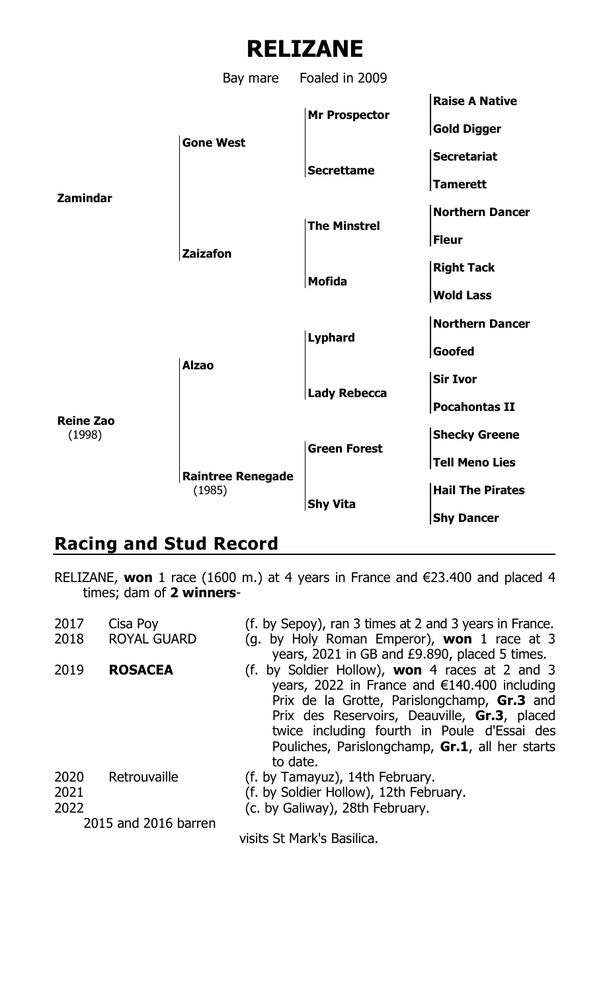

**Reine Zao** (1998) **Shecky Greene**

RELIZANE, **won** 1 race (1600 m.) at 4 years in France and €23.400 and placed 4 times; dam of **2 winners**-

**Raintree Renegade**

**Racing and Stud Record**

**Green Forest**

**Shy Vita**

**Tell Meno Lies**

(1985) **Hail The Pirates**

**Shy Dancer**

| 2017 |                      |                                                                                              |
|------|----------------------|----------------------------------------------------------------------------------------------|
|      | Cisa Poy             | (f. by Sepoy), ran 3 times at 2 and 3 years in France.                                       |
| 2018 | <b>ROYAL GUARD</b>   | (g. by Holy Roman Emperor), won 1 race at 3<br>years, 2021 in GB and £9.890, placed 5 times. |
| 2019 | <b>ROSACEA</b>       | (f. by Soldier Hollow), <b>won</b> 4 races at 2 and 3                                        |
|      |                      | years, 2022 in France and $€140.400$ including                                               |
|      |                      | Prix de la Grotte, Parislongchamp, Gr.3 and                                                  |
|      |                      | Prix des Reservoirs, Deauville, Gr.3, placed                                                 |
|      |                      | twice including fourth in Poule d'Essai des                                                  |
|      |                      | Pouliches, Parislongchamp, Gr.1, all her starts                                              |
|      |                      | to date.                                                                                     |
| 2020 | Retrouvaille         | (f. by Tamayuz), 14th February.                                                              |
| 2021 |                      | (f. by Soldier Hollow), 12th February.                                                       |
| 2022 |                      | (c. by Galiway), 28th February.                                                              |
|      | 2015 and 2016 barren |                                                                                              |
|      |                      | visits St Mark's Basilica.                                                                   |